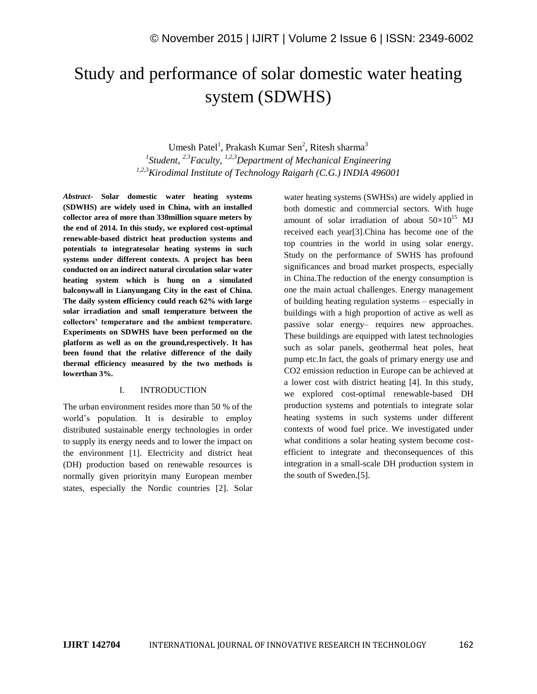# Study and performance of solar domestic water heating system (SDWHS)

Umesh Patel<sup>1</sup>, Prakash Kumar Sen<sup>2</sup>, Ritesh sharma<sup>3</sup>

*1 Student, 2.3Faculty, 1,2,3Department of Mechanical Engineering 1,2,3Kirodimal Institute of Technology Raigarh (C.G.) INDIA 496001*

*Abstract-* **Solar domestic water heating systems (SDWHS) are widely used in China, with an installed collector area of more than 330million square meters by the end of 2014. In this study, we explored cost-optimal renewable-based district heat production systems and potentials to integratesolar heating systems in such systems under different contexts. A project has been conducted on an indirect natural circulation solar water heating system which is hung on a simulated balconywall in Lianyungang City in the east of China. The daily system efficiency could reach 62% with large solar irradiation and small temperature between the collectors' temperature and the ambient temperature. Experiments on SDWHS have been performed on the platform as well as on the ground,respectively. It has been found that the relative difference of the daily thermal efficiency measured by the two methods is lowerthan 3%.**

## I. INTRODUCTION

The urban environment resides more than 50 % of the world's population. It is desirable to employ distributed sustainable energy technologies in order to supply its energy needs and to lower the impact on the environment [1]. Electricity and district heat (DH) production based on renewable resources is normally given priorityin many European member states, especially the Nordic countries [2]. Solar water heating systems (SWHSs) are widely applied in both domestic and commercial sectors. With huge amount of solar irradiation of about  $50\times10^{15}$  MJ received each year[3].China has become one of the top countries in the world in using solar energy. Study on the performance of SWHS has profound significances and broad market prospects, especially in China.The reduction of the energy consumption is one the main actual challenges. Energy management of building heating regulation systems – especially in buildings with a high proportion of active as well as passive solar energy– requires new approaches. These buildings are equipped with latest technologies such as solar panels, geothermal heat poles, heat pump etc.In fact, the goals of primary energy use and CO2 emission reduction in Europe can be achieved at a lower cost with district heating [4]. In this study, we explored cost-optimal renewable-based DH production systems and potentials to integrate solar heating systems in such systems under different contexts of wood fuel price. We investigated under what conditions a solar heating system become costefficient to integrate and theconsequences of this integration in a small-scale DH production system in the south of Sweden.[5].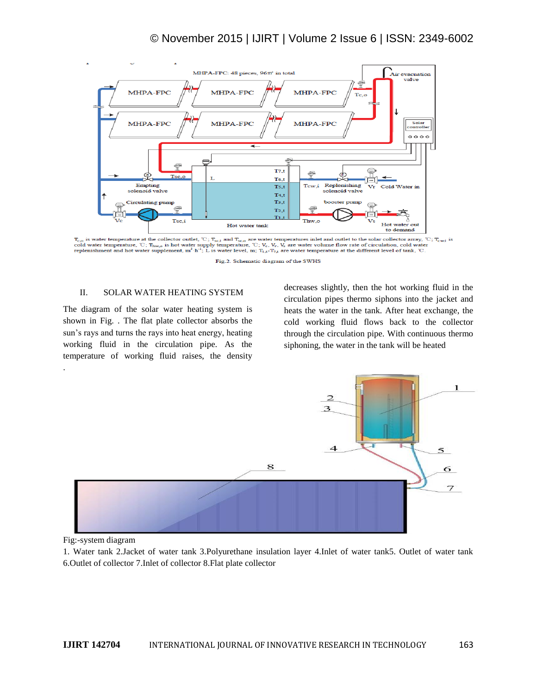

 $T_{c,o}$  is water temperature at the collector outlet, °C;  $T_{sc,l}$  and  $T_{sc,o}$  are water temperatures inlet and outlet to the solar collector array, °C;  $T_{cwd}$  is cold water temperature, °C;  $T_{bwd}$  is  $T_{cwd}$  is not wate

Fig.2. Schematic diagram of the SWHS

#### II. SOLAR WATER HEATING SYSTEM

The diagram of the solar water heating system is shown in Fig. . The flat plate collector absorbs the sun's rays and turns the rays into heat energy, heating working fluid in the circulation pipe. As the temperature of working fluid raises, the density .

decreases slightly, then the hot working fluid in the circulation pipes thermo siphons into the jacket and heats the water in the tank. After heat exchange, the cold working fluid flows back to the collector through the circulation pipe. With continuous thermo siphoning, the water in the tank will be heated



Fig:-system diagram

1. Water tank 2.Jacket of water tank 3.Polyurethane insulation layer 4.Inlet of water tank5. Outlet of water tank 6.Outlet of collector 7.Inlet of collector 8.Flat plate collector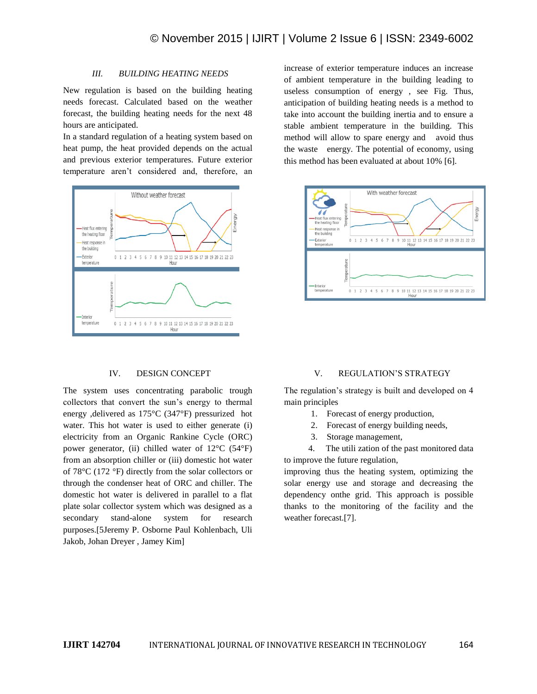## *III. BUILDING HEATING NEEDS*

New regulation is based on the building heating needs forecast. Calculated based on the weather forecast, the building heating needs for the next 48 hours are anticipated.

In a standard regulation of a heating system based on heat pump, the heat provided depends on the actual and previous exterior temperatures. Future exterior temperature aren't considered and, therefore, an



# IV. DESIGN CONCEPT

The system uses concentrating parabolic trough collectors that convert the sun's energy to thermal energy ,delivered as 175°C (347°F) pressurized hot water. This hot water is used to either generate (i) electricity from an Organic Rankine Cycle (ORC) power generator, (ii) chilled water of 12°C (54°F) from an absorption chiller or (iii) domestic hot water of 78°C (172 °F) directly from the solar collectors or through the condenser heat of ORC and chiller. The domestic hot water is delivered in parallel to a flat plate solar collector system which was designed as a secondary stand-alone system for research purposes.[5Jeremy P. Osborne Paul Kohlenbach, Uli Jakob, Johan Dreyer , Jamey Kim]

increase of exterior temperature induces an increase of ambient temperature in the building leading to useless consumption of energy , see Fig. Thus, anticipation of building heating needs is a method to take into account the building inertia and to ensure a stable ambient temperature in the building. This method will allow to spare energy and avoid thus the waste energy. The potential of economy, using this method has been evaluated at about 10% [6].



#### V. REGULATION'S STRATEGY

The regulation's strategy is built and developed on 4 main principles

- 1. Forecast of energy production,
- 2. Forecast of energy building needs,
- 3. Storage management,

 4. The utili zation of the past monitored data to improve the future regulation,

improving thus the heating system, optimizing the solar energy use and storage and decreasing the dependency onthe grid. This approach is possible thanks to the monitoring of the facility and the weather forecast.[7].